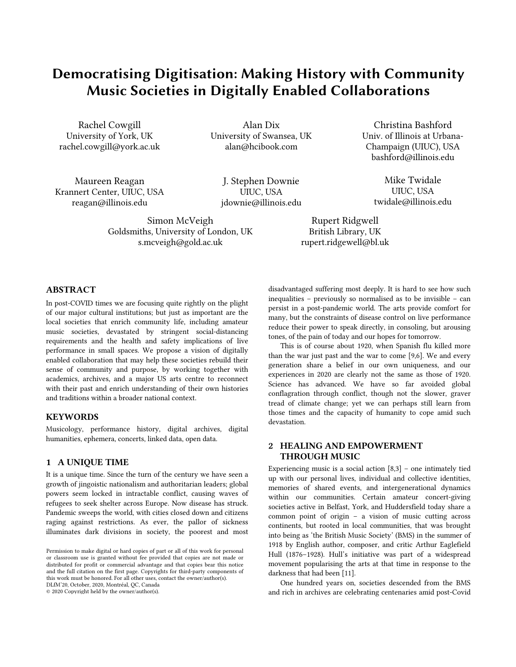# Democratising Digitisation: Making History with Community Music Societies in Digitally Enabled Collaborations

Rachel Cowgill University of York, UK rachel.cowgill@york.ac.uk

Alan Dix University of Swansea, UK alan@hcibook.com

Christina Bashford Univ. of Illinois at Urbana-Champaign (UIUC), USA bashford@illinois.edu

Maureen Reagan Krannert Center, UIUC, USA reagan@illinois.edu

J. Stephen Downie UIUC, USA jdownie@illinois.edu

Mike Twidale UIUC, USA twidale@illinois.edu

Rupert Ridgwell British Library, UK rupert.ridgewell@bl.uk

# ABSTRACT

In post-COVID times we are focusing quite rightly on the plight of our major cultural institutions; but just as important are the local societies that enrich community life, including amateur music societies, devastated by stringent social-distancing requirements and the health and safety implications of live performance in small spaces. We propose a vision of digitally enabled collaboration that may help these societies rebuild their sense of community and purpose, by working together with academics, archives, and a major US arts centre to reconnect with their past and enrich understanding of their own histories and traditions within a broader national context.

Simon McVeigh Goldsmiths, University of London, UK s.mcveigh@gold.ac.uk

# **KEYWORDS**

Musicology, performance history, digital archives, digital humanities, ephemera, concerts, linked data, open data.

#### 1 A UNIQUE TIME

It is a unique time. Since the turn of the century we have seen a growth of jingoistic nationalism and authoritarian leaders; global powers seem locked in intractable conflict, causing waves of refugees to seek shelter across Europe. Now disease has struck. Pandemic sweeps the world, with cities closed down and citizens raging against restrictions. As ever, the pallor of sickness illuminates dark divisions in society, the poorest and most

© 2020 Copyright held by the owner/author(s).

disadvantaged suffering most deeply. It is hard to see how such inequalities – previously so normalised as to be invisible – can persist in a post-pandemic world. The arts provide comfort for many, but the constraints of disease control on live performance reduce their power to speak directly, in consoling, but arousing tones, of the pain of today and our hopes for tomorrow.

This is of course about 1920, when Spanish flu killed more than the war just past and the war to come [9,6]. We and every generation share a belief in our own uniqueness, and our experiences in 2020 are clearly not the same as those of 1920. Science has advanced. We have so far avoided global conflagration through conflict, though not the slower, graver tread of climate change; yet we can perhaps still learn from those times and the capacity of humanity to cope amid such devastation.

# 2 HEALING AND EMPOWERMENT THROUGH MUSIC

Experiencing music is a social action  $[8,3]$  – one intimately tied up with our personal lives, individual and collective identities, memories of shared events, and intergenerational dynamics within our communities. Certain amateur concert-giving societies active in Belfast, York, and Huddersfield today share a common point of origin – a vision of music cutting across continents, but rooted in local communities, that was brought into being as 'the British Music Society' (BMS) in the summer of 1918 by English author, composer, and critic Arthur Eaglefield Hull (1876–1928). Hull's initiative was part of a widespread movement popularising the arts at that time in response to the darkness that had been [11].

One hundred years on, societies descended from the BMS and rich in archives are celebrating centenaries amid post-Covid

Permission to make digital or hard copies of part or all of this work for personal or classroom use is granted without fee provided that copies are not made or distributed for profit or commercial advantage and that copies bear this notice and the full citation on the first page. Copyrights for third-party components of this work must be honored. For all other uses, contact the owner/author(s). DLfM'20, October, 2020, Montréal, QC, Canada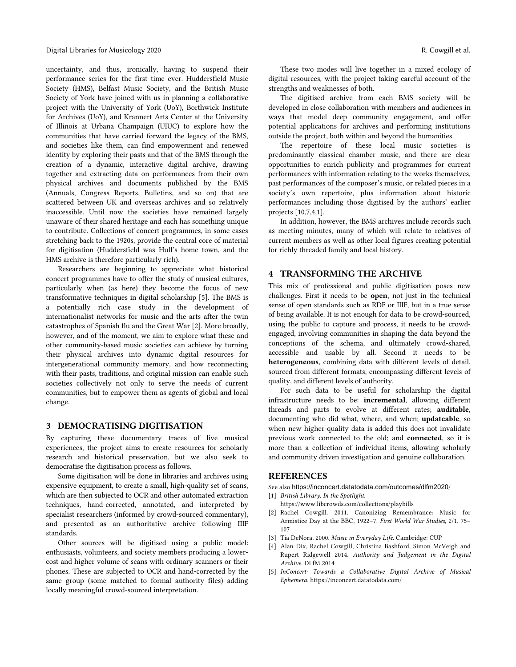uncertainty, and thus, ironically, having to suspend their performance series for the first time ever. Huddersfield Music Society (HMS), Belfast Music Society, and the British Music Society of York have joined with us in planning a collaborative project with the University of York (UoY), Borthwick Institute for Archives (UoY), and Krannert Arts Center at the University of Illinois at Urbana Champaign (UIUC) to explore how the communities that have carried forward the legacy of the BMS, and societies like them, can find empowerment and renewed identity by exploring their pasts and that of the BMS through the creation of a dynamic, interactive digital archive, drawing together and extracting data on performances from their own physical archives and documents published by the BMS (Annuals, Congress Reports, Bulletins, and so on) that are scattered between UK and overseas archives and so relatively inaccessible. Until now the societies have remained largely unaware of their shared heritage and each has something unique to contribute. Collections of concert programmes, in some cases stretching back to the 1920s, provide the central core of material for digitisation (Huddersfield was Hull's home town, and the HMS archive is therefore particularly rich).

Researchers are beginning to appreciate what historical concert programmes have to offer the study of musical cultures, particularly when (as here) they become the focus of new transformative techniques in digital scholarship [5]. The BMS is a potentially rich case study in the development of internationalist networks for music and the arts after the twin catastrophes of Spanish flu and the Great War [2]. More broadly, however, and of the moment, we aim to explore what these and other community-based music societies can achieve by turning their physical archives into dynamic digital resources for intergenerational community memory, and how reconnecting with their pasts, traditions, and original mission can enable such societies collectively not only to serve the needs of current communities, but to empower them as agents of global and local change.

## 3 DEMOCRATISING DIGITISATION

By capturing these documentary traces of live musical experiences, the project aims to create resources for scholarly research and historical preservation, but we also seek to democratise the digitisation process as follows.

Some digitisation will be done in libraries and archives using expensive equipment, to create a small, high-quality set of scans, which are then subjected to OCR and other automated extraction techniques, hand-corrected, annotated, and interpreted by specialist researchers (informed by crowd-sourced commentary), and presented as an authoritative archive following IIIF standards.

Other sources will be digitised using a public model: enthusiasts, volunteers, and society members producing a lowercost and higher volume of scans with ordinary scanners or their phones. These are subjected to OCR and hand-corrected by the same group (some matched to formal authority files) adding locally meaningful crowd-sourced interpretation.

These two modes will live together in a mixed ecology of digital resources, with the project taking careful account of the strengths and weaknesses of both.

The digitised archive from each BMS society will be developed in close collaboration with members and audiences in ways that model deep community engagement, and offer potential applications for archives and performing institutions outside the project, both within and beyond the humanities.

The repertoire of these local music societies is predominantly classical chamber music, and there are clear opportunities to enrich publicity and programmes for current performances with information relating to the works themselves, past performances of the composer's music, or related pieces in a society's own repertoire, plus information about historic performances including those digitised by the authors' earlier projects [10,7,4,1].

In addition, however, the BMS archives include records such as meeting minutes, many of which will relate to relatives of current members as well as other local figures creating potential for richly threaded family and local history.

## 4 TRANSFORMING THE ARCHIVE

This mix of professional and public digitisation poses new challenges. First it needs to be open, not just in the technical sense of open standards such as RDF or IIIF, but in a true sense of being available. It is not enough for data to be crowd-sourced, using the public to capture and process, it needs to be crowdengaged, involving communities in shaping the data beyond the conceptions of the schema, and ultimately crowd-shared, accessible and usable by all. Second it needs to be heterogeneous, combining data with different levels of detail, sourced from different formats, encompassing different levels of quality, and different levels of authority.

For such data to be useful for scholarship the digital infrastructure needs to be: incremental, allowing different threads and parts to evolve at different rates; auditable, documenting who did what, where, and when; updateable, so when new higher-quality data is added this does not invalidate previous work connected to the old; and connected, so it is more than a collection of individual items, allowing scholarly and community driven investigation and genuine collaboration.

## REFERENCES

See also https://inconcert.datatodata.com/outcomes/dlfm2020/

- [1] *British Library. In the Spotlight.* https://www.libcrowds.com/collections/playbills
- [2] Rachel Cowgill. 2011. Canonizing Remembrance: Music for Armistice Day at the BBC, 1922–7. *First World War Studies*, 2/1. 75– 107
- [3] Tia DeNora. 2000. *Music in Everyday Life*. Cambridge: CUP
- [4] Alan Dix, Rachel Cowgill, Christina Bashford, Simon McVeigh and Rupert Ridgewell 2014. *Authority and Judgement in the Digital Archive*. DLfM 2014
- [5] *InConcert: Towards a Collaborative Digital Archive of Musical Ephemera*. https://inconcert.datatodata.com/